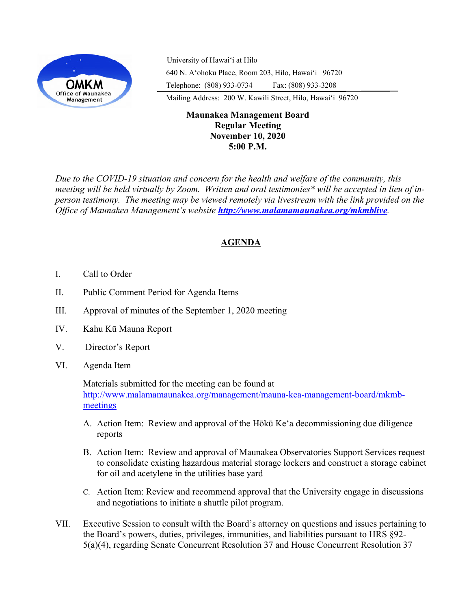

University of Hawaiʻi at Hilo 640 N. A'ohoku Place, Room 203, Hilo, Hawai'i 96720 Telephone: (808) 933-0734 Fax: (808) 933-3208

Mailing Address: 200 W. Kawili Street, Hilo, Hawai'i 96720

## **Maunakea Management Board Regular Meeting November 10, 2020 5:00 P.M.**

*Due to the COVID-19 situation and concern for the health and welfare of the community, this meeting will be held virtually by Zoom. Written and oral testimonies\* will be accepted in lieu of inperson testimony. The meeting may be viewed remotely via livestream with the link provided on the Office of Maunakea Management's website http://www.malamamaunakea.org/mkmblive.* 

# **AGENDA**

- I. Call to Order
- II. Public Comment Period for Agenda Items
- III. Approval of minutes of the September 1, 2020 meeting
- IV. Kahu Kū Mauna Report
- V. Director's Report
- VI. Agenda Item

Materials submitted for the meeting can be found at http://www.malamamaunakea.org/management/mauna-kea-management-board/mkmbmeetings

- A. Action Item: Review and approval of the Hōkū Keʻa decommissioning due diligence reports
- B. Action Item: Review and approval of Maunakea Observatories Support Services request to consolidate existing hazardous material storage lockers and construct a storage cabinet for oil and acetylene in the utilities base yard
- C. Action Item: Review and recommend approval that the University engage in discussions and negotiations to initiate a shuttle pilot program.
- VII. Executive Session to consult wiIth the Board's attorney on questions and issues pertaining to the Board's powers, duties, privileges, immunities, and liabilities pursuant to HRS §92- 5(a)(4), regarding Senate Concurrent Resolution 37 and House Concurrent Resolution 37